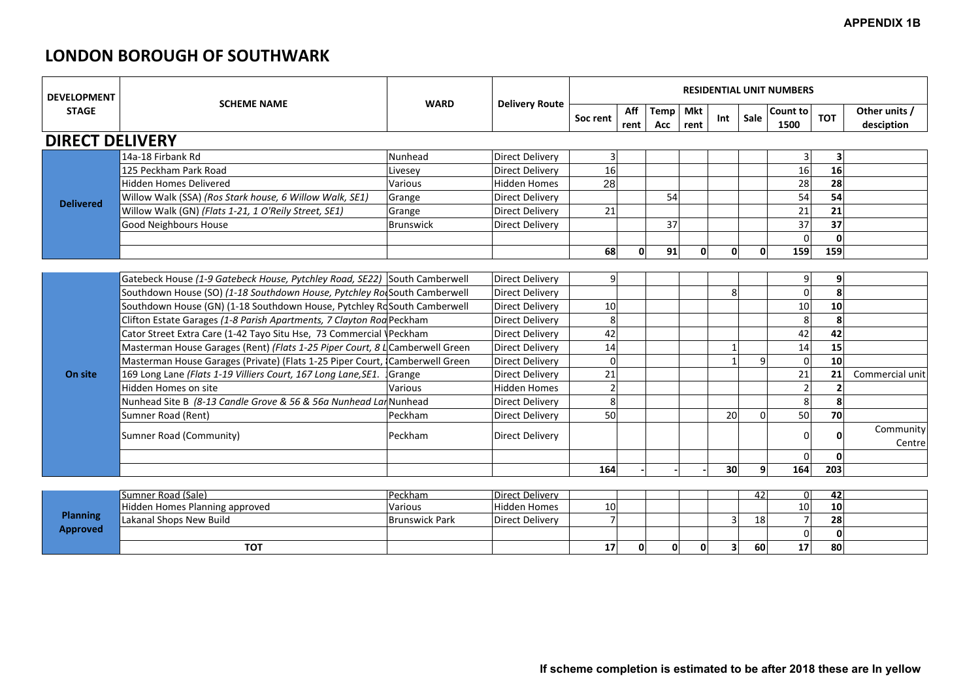# **LONDON BOROUGH OF SOUTHWARK**

| <b>DEVELOPMENT</b>     |                                                                              | <b>WARD</b>           | <b>Delivery Route</b>  |                |              |             |                    |                |      | <b>RESIDENTIAL UNIT NUMBERS</b> |            |                             |
|------------------------|------------------------------------------------------------------------------|-----------------------|------------------------|----------------|--------------|-------------|--------------------|----------------|------|---------------------------------|------------|-----------------------------|
| <b>STAGE</b>           | <b>SCHEME NAME</b>                                                           |                       |                        | Soc rent       | Aff<br>rent  | Temp<br>Acc | <b>Mkt</b><br>rent | Int            | Sale | Count to<br>1500                | <b>TOT</b> | Other units /<br>desciption |
| <b>DIRECT DELIVERY</b> |                                                                              |                       |                        |                |              |             |                    |                |      |                                 |            |                             |
|                        | 14a-18 Firbank Rd                                                            | Nunhead               | <b>Direct Delivery</b> | 3              |              |             |                    |                |      | 31                              | 3          |                             |
|                        | 125 Peckham Park Road                                                        | Livesey               | Direct Delivery        | 16             |              |             |                    |                |      | 16                              | 16         |                             |
|                        | <b>Hidden Homes Delivered</b>                                                | Various               | Hidden Homes           | 28             |              |             |                    |                |      | 28                              | 28         |                             |
| <b>Delivered</b>       | Willow Walk (SSA) (Ros Stark house, 6 Willow Walk, SE1)                      | Grange                | Direct Delivery        |                |              | 54          |                    |                |      | 54                              | 54         |                             |
|                        | Willow Walk (GN) (Flats 1-21, 1 O'Reily Street, SE1)                         | Grange                | Direct Delivery        | 21             |              |             |                    |                |      | 21                              | 21         |                             |
|                        | <b>Good Neighbours House</b>                                                 | Brunswick             | Direct Delivery        |                |              | 37          |                    |                |      | 37                              | 37         |                             |
|                        |                                                                              |                       |                        |                |              |             |                    |                |      | $\overline{0}$                  | 0          |                             |
|                        |                                                                              |                       |                        | 68             | 0            | 91          |                    | 0              |      | 159                             | 159        |                             |
|                        |                                                                              |                       |                        |                |              |             |                    |                |      |                                 |            |                             |
|                        | Gatebeck House (1-9 Gatebeck House, Pytchley Road, SE22) South Camberwell    |                       | Direct Delivery        | $9\,$          |              |             |                    |                |      | 9                               | 9          |                             |
|                        | Southdown House (SO) (1-18 Southdown House, Pytchley Ro South Camberwell     |                       | <b>Direct Delivery</b> |                |              |             |                    | 8 <sup>1</sup> |      | <sub>0</sub>                    | 8          |                             |
|                        | Southdown House (GN) (1-18 Southdown House, Pytchley RdSouth Camberwell      |                       | Direct Delivery        | 10             |              |             |                    |                |      | 10                              | 10         |                             |
|                        | Clifton Estate Garages (1-8 Parish Apartments, 7 Clayton Rod Peckham         |                       | Direct Delivery        | 8              |              |             |                    |                |      | 8                               |            |                             |
|                        | Cator Street Extra Care (1-42 Tayo Situ Hse, 73 Commercial \Peckham          |                       | Direct Delivery        | 42             |              |             |                    |                |      | 42                              | 42         |                             |
|                        | Masterman House Garages (Rent) (Flats 1-25 Piper Court, 8 4 Camberwell Green |                       | <b>Direct Delivery</b> | 14             |              |             |                    |                |      | 14                              | 15         |                             |
|                        | Masterman House Garages (Private) (Flats 1-25 Piper Court, Camberwell Green  |                       | Direct Delivery        | $\mathbf 0$    |              |             |                    |                |      | $\overline{0}$                  | 10         |                             |
| On site                | 169 Long Lane (Flats 1-19 Villiers Court, 167 Long Lane, SE1.                | Grange                | Direct Delivery        | 21             |              |             |                    |                |      | 21                              | 21         | Commercial unit             |
|                        | Hidden Homes on site                                                         | Various               | Hidden Homes           | $\overline{2}$ |              |             |                    |                |      |                                 |            |                             |
|                        | Nunhead Site B (8-13 Candle Grove & 56 & 56a Nunhead LanNunhead              |                       | <b>Direct Delivery</b> | 8              |              |             |                    |                |      | 8 <sup>1</sup>                  | 8          |                             |
|                        | Sumner Road (Rent)                                                           | Peckham               | <b>Direct Delivery</b> | 50             |              |             |                    | 20             |      | 50                              | 70         |                             |
|                        |                                                                              | Peckham               |                        |                |              |             |                    |                |      |                                 |            | Community                   |
|                        | Sumner Road (Community)                                                      |                       | Direct Delivery        |                |              |             |                    |                |      | 01                              | 0          | Centre                      |
|                        |                                                                              |                       |                        |                |              |             |                    |                |      | $\Omega$                        | 0          |                             |
|                        |                                                                              |                       |                        | 164            |              |             |                    | 30             | q    | 164                             | 203        |                             |
|                        |                                                                              |                       |                        |                |              |             |                    |                |      |                                 |            |                             |
|                        | Sumner Road (Sale)                                                           | Peckham               | <b>Direct Delivery</b> |                |              |             |                    |                | 42   | 0                               | 42         |                             |
| <b>Planning</b>        | Hidden Homes Planning approved                                               | Various               | Hidden Homes           | 10             |              |             |                    |                |      | 10                              | 10         |                             |
| <b>Approved</b>        | Lakanal Shops New Build                                                      | <b>Brunswick Park</b> | <b>Direct Delivery</b> | $\overline{ }$ |              |             |                    | 3              | 18   | 7 <sup>1</sup>                  | 28         |                             |
|                        |                                                                              |                       |                        |                |              |             |                    |                |      | $\overline{0}$                  | 0          |                             |
|                        | <b>TOT</b>                                                                   |                       |                        | 17             | $\mathbf{0}$ | 0           |                    | 3 <sup>1</sup> | 60   | 17                              | 80         |                             |

|                             | Sumner Road (Sale)             | <b>Peckham</b>        | Direct Delivery     |    |    |    |  | 12 I      |                 | 42 |
|-----------------------------|--------------------------------|-----------------------|---------------------|----|----|----|--|-----------|-----------------|----|
|                             | Hidden Homes Planning approved | <b>Various</b>        | <b>Hidden Homes</b> | 10 |    |    |  |           | 10 <sup>1</sup> | 10 |
| <b>Planning</b><br>Approved | Lakanal Shops New Build        | <b>Brunswick Park</b> | Direct Delivery     |    |    |    |  | 18        |                 | 28 |
|                             |                                |                       |                     |    |    |    |  |           |                 |    |
|                             | TOT                            |                       |                     |    | 01 | ΩI |  | <b>60</b> |                 | 80 |

### **APPENDIX 1B**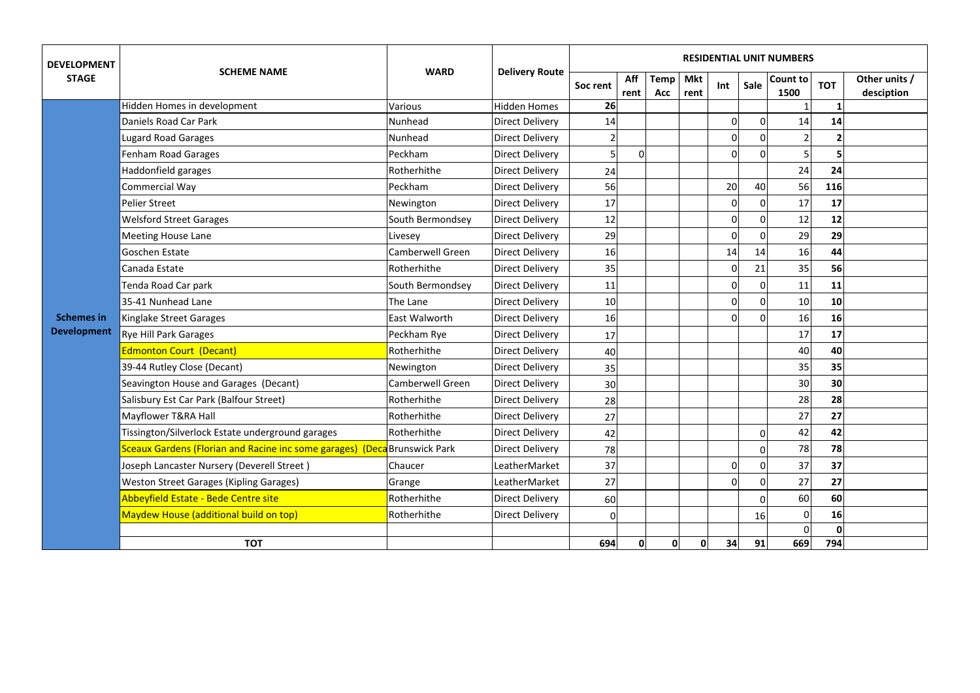| <b>DEVELOPMENT</b> | <b>SCHEME NAME</b>                                                               | <b>WARD</b>             | <b>Delivery Route</b>  | <b>RESIDENTIAL UNIT NUMBERS</b> |             |               |                    |                |      |                  |                 |                             |  |  |
|--------------------|----------------------------------------------------------------------------------|-------------------------|------------------------|---------------------------------|-------------|---------------|--------------------|----------------|------|------------------|-----------------|-----------------------------|--|--|
| <b>STAGE</b>       |                                                                                  |                         |                        | Soc rent                        | Aff<br>rent | Temp !<br>Acc | <b>Mkt</b><br>rent | Int            | Sale | Count to<br>1500 | <b>TOT</b>      | Other units /<br>desciption |  |  |
|                    | Hidden Homes in development                                                      | Various                 | <b>Hidden Homes</b>    | 26                              |             |               |                    |                |      |                  |                 |                             |  |  |
|                    | Daniels Road Car Park                                                            | Nunhead                 | <b>Direct Delivery</b> | 14                              |             |               |                    | $\Omega$       |      | 14               | 14              |                             |  |  |
|                    | <b>Lugard Road Garages</b>                                                       | Nunhead                 | <b>Direct Delivery</b> |                                 |             |               |                    | 0              |      |                  |                 |                             |  |  |
|                    | <b>Fenham Road Garages</b>                                                       | Peckham                 | Direct Delivery        | 5                               | $\mathbf 0$ |               |                    |                |      | 5                |                 |                             |  |  |
|                    | Haddonfield garages                                                              | Rotherhithe             | <b>Direct Delivery</b> | 24                              |             |               |                    |                |      | 24               | 24              |                             |  |  |
|                    | Commercial Way                                                                   | Peckham                 | <b>Direct Delivery</b> | 56                              |             |               |                    | 20             | 40   | 56               | 116             |                             |  |  |
|                    | <b>Pelier Street</b>                                                             | Newington               | Direct Delivery        | 17                              |             |               |                    | 0              |      | 17               | 17              |                             |  |  |
|                    | <b>Welsford Street Garages</b>                                                   | South Bermondsey        | Direct Delivery        | 12                              |             |               |                    | $\Omega$       |      | 12               | 12              |                             |  |  |
|                    | <b>Meeting House Lane</b>                                                        | Livesey                 | Direct Delivery        | 29                              |             |               |                    | ∩              |      | 29               | 29              |                             |  |  |
|                    | Goschen Estate                                                                   | Camberwell Green        | Direct Delivery        | 16                              |             |               |                    | 14             | 14   | 16               | 44              |                             |  |  |
|                    | Canada Estate                                                                    | Rotherhithe             | <b>Direct Delivery</b> | 35                              |             |               |                    | $\overline{0}$ | 21   | 35               | 56              |                             |  |  |
|                    | Tenda Road Car park                                                              | South Bermondsey        | Direct Delivery        | 11                              |             |               |                    | U              |      | 11               | 11              |                             |  |  |
|                    | 35-41 Nunhead Lane                                                               | The Lane                | <b>Direct Delivery</b> | 10                              |             |               |                    |                |      | 10               | 10 <sub>l</sub> |                             |  |  |
| <b>Schemes in</b>  | Kinglake Street Garages                                                          | East Walworth           | Direct Delivery        | 16                              |             |               |                    | $\Omega$       |      | 16               | 16              |                             |  |  |
| <b>Development</b> | <b>Rye Hill Park Garages</b>                                                     | Peckham Rye             | Direct Delivery        | 17                              |             |               |                    |                |      | 17               | 17              |                             |  |  |
|                    | <b>Edmonton Court (Decant)</b>                                                   | Rotherhithe             | <b>Direct Delivery</b> | 40                              |             |               |                    |                |      | 40               | 40              |                             |  |  |
|                    | 39-44 Rutley Close (Decant)                                                      | Newington               | <b>Direct Delivery</b> | 35                              |             |               |                    |                |      | 35               | 35              |                             |  |  |
|                    | Seavington House and Garages (Decant)                                            | <b>Camberwell Green</b> | Direct Delivery        | 30                              |             |               |                    |                |      | 30               | 30 <sup>1</sup> |                             |  |  |
|                    | Salisbury Est Car Park (Balfour Street)                                          | Rotherhithe             | <b>Direct Delivery</b> | 28                              |             |               |                    |                |      | 28               | 28              |                             |  |  |
|                    | Mayflower T&RA Hall                                                              | Rotherhithe             | <b>Direct Delivery</b> | 27                              |             |               |                    |                |      | 27               | 27              |                             |  |  |
|                    | Tissington/Silverlock Estate underground garages                                 | Rotherhithe             | <b>Direct Delivery</b> | 42                              |             |               |                    |                |      | 42               | 42              |                             |  |  |
|                    | <b>Sceaux Gardens (Florian and Racine inc some garages) (Deca</b> Brunswick Park |                         | <b>Direct Delivery</b> | 78                              |             |               |                    |                |      | 78               | 78              |                             |  |  |
|                    | Joseph Lancaster Nursery (Deverell Street)                                       | Chaucer                 | LeatherMarket          | 37                              |             |               |                    | 0              |      | 37               | 37              |                             |  |  |
|                    | <b>Weston Street Garages (Kipling Garages)</b>                                   | Grange                  | LeatherMarket          | 27                              |             |               |                    |                |      | 27               | 27              |                             |  |  |
|                    | Abbeyfield Estate - Bede Centre site                                             | Rotherhithe             | <b>Direct Delivery</b> | 60                              |             |               |                    |                |      | 60               | 60              |                             |  |  |
|                    | Maydew House (additional build on top)                                           | Rotherhithe             | Direct Delivery        | $\mathbf 0$                     |             |               |                    |                | 16   | 0                | 16              |                             |  |  |
|                    |                                                                                  |                         |                        |                                 |             |               |                    |                |      | $\Omega$         | 0               |                             |  |  |
|                    | <b>TOT</b>                                                                       |                         |                        | 694                             | 01          | $\mathbf{0}$  | 0                  | 34             | 91   | 669              | 794             |                             |  |  |